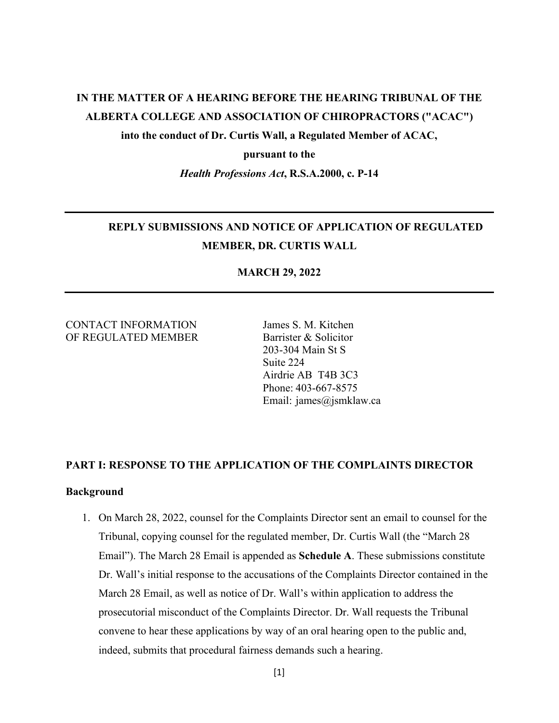# **IN THE MATTER OF A HEARING BEFORE THE HEARING TRIBUNAL OF THE ALBERTA COLLEGE AND ASSOCIATION OF CHIROPRACTORS ("ACAC")**

**into the conduct of Dr. Curtis Wall, a Regulated Member of ACAC,** 

#### **pursuant to the**

*Health Professions Act***, R.S.A.2000, c. P-14** 

# **REPLY SUBMISSIONS AND NOTICE OF APPLICATION OF REGULATED MEMBER, DR. CURTIS WALL**

#### **MARCH 29, 2022**

#### CONTACT INFORMATION James S. M. Kitchen OF REGULATED MEMBER Barrister & Solicitor

 203-304 Main St S Suite 224 Airdrie AB T4B 3C3 Phone: 403-667-8575 Email: james@jsmklaw.ca

#### **PART I: RESPONSE TO THE APPLICATION OF THE COMPLAINTS DIRECTOR**

#### **Background**

1. On March 28, 2022, counsel for the Complaints Director sent an email to counsel for the Tribunal, copying counsel for the regulated member, Dr. Curtis Wall (the "March 28 Email"). The March 28 Email is appended as **Schedule A**. These submissions constitute Dr. Wall's initial response to the accusations of the Complaints Director contained in the March 28 Email, as well as notice of Dr. Wall's within application to address the prosecutorial misconduct of the Complaints Director. Dr. Wall requests the Tribunal convene to hear these applications by way of an oral hearing open to the public and, indeed, submits that procedural fairness demands such a hearing.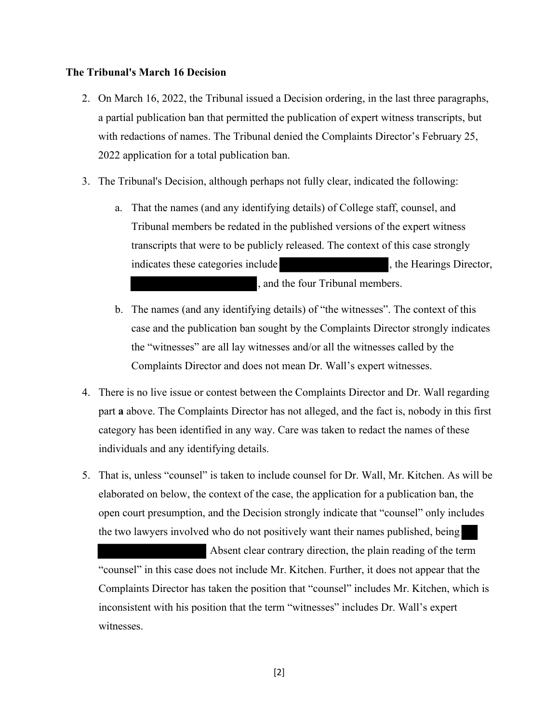#### **The Tribunal's March 16 Decision**

- 2. On March 16, 2022, the Tribunal issued a Decision ordering, in the last three paragraphs, a partial publication ban that permitted the publication of expert witness transcripts, but with redactions of names. The Tribunal denied the Complaints Director's February 25, 2022 application for a total publication ban.
- 3. The Tribunal's Decision, although perhaps not fully clear, indicated the following:
	- a. That the names (and any identifying details) of College staff, counsel, and Tribunal members be redated in the published versions of the expert witness transcripts that were to be publicly released. The context of this case strongly indicates these categories include  $\qquad \qquad$ , the Hearings Director, , and the four Tribunal members.
	- b. The names (and any identifying details) of "the witnesses". The context of this case and the publication ban sought by the Complaints Director strongly indicates the "witnesses" are all lay witnesses and/or all the witnesses called by the Complaints Director and does not mean Dr. Wall's expert witnesses.
- 4. There is no live issue or contest between the Complaints Director and Dr. Wall regarding part **a** above. The Complaints Director has not alleged, and the fact is, nobody in this first category has been identified in any way. Care was taken to redact the names of these individuals and any identifying details.
- 5. That is, unless "counsel" is taken to include counsel for Dr. Wall, Mr. Kitchen. As will be elaborated on below, the context of the case, the application for a publication ban, the open court presumption, and the Decision strongly indicate that "counsel" only includes the two lawyers involved who do not positively want their names published, being

 Absent clear contrary direction, the plain reading of the term "counsel" in this case does not include Mr. Kitchen. Further, it does not appear that the Complaints Director has taken the position that "counsel" includes Mr. Kitchen, which is inconsistent with his position that the term "witnesses" includes Dr. Wall's expert witnesses.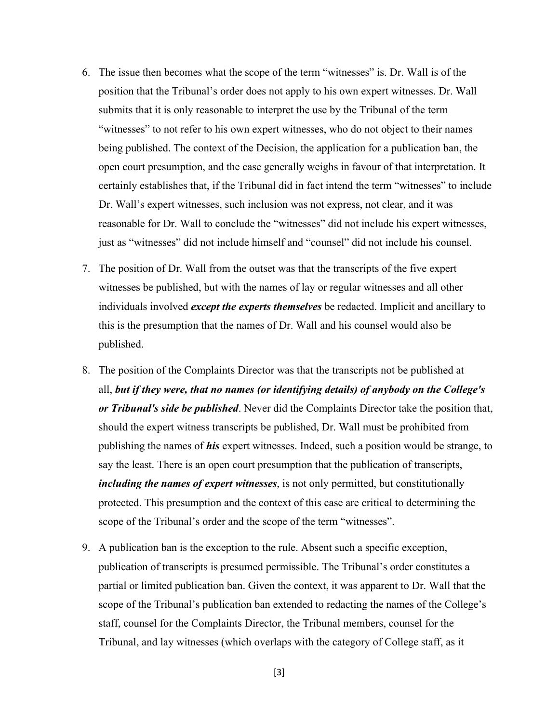- 6. The issue then becomes what the scope of the term "witnesses" is. Dr. Wall is of the position that the Tribunal's order does not apply to his own expert witnesses. Dr. Wall submits that it is only reasonable to interpret the use by the Tribunal of the term "witnesses" to not refer to his own expert witnesses, who do not object to their names being published. The context of the Decision, the application for a publication ban, the open court presumption, and the case generally weighs in favour of that interpretation. It certainly establishes that, if the Tribunal did in fact intend the term "witnesses" to include Dr. Wall's expert witnesses, such inclusion was not express, not clear, and it was reasonable for Dr. Wall to conclude the "witnesses" did not include his expert witnesses, just as "witnesses" did not include himself and "counsel" did not include his counsel.
- 7. The position of Dr. Wall from the outset was that the transcripts of the five expert witnesses be published, but with the names of lay or regular witnesses and all other individuals involved *except the experts themselves* be redacted. Implicit and ancillary to this is the presumption that the names of Dr. Wall and his counsel would also be published.
- 8. The position of the Complaints Director was that the transcripts not be published at all, *but if they were, that no names (or identifying details) of anybody on the College's or Tribunal's side be published*. Never did the Complaints Director take the position that, should the expert witness transcripts be published, Dr. Wall must be prohibited from publishing the names of *his* expert witnesses. Indeed, such a position would be strange, to say the least. There is an open court presumption that the publication of transcripts, *including the names of expert witnesses*, is not only permitted, but constitutionally protected. This presumption and the context of this case are critical to determining the scope of the Tribunal's order and the scope of the term "witnesses".
- 9. A publication ban is the exception to the rule. Absent such a specific exception, publication of transcripts is presumed permissible. The Tribunal's order constitutes a partial or limited publication ban. Given the context, it was apparent to Dr. Wall that the scope of the Tribunal's publication ban extended to redacting the names of the College's staff, counsel for the Complaints Director, the Tribunal members, counsel for the Tribunal, and lay witnesses (which overlaps with the category of College staff, as it

[3]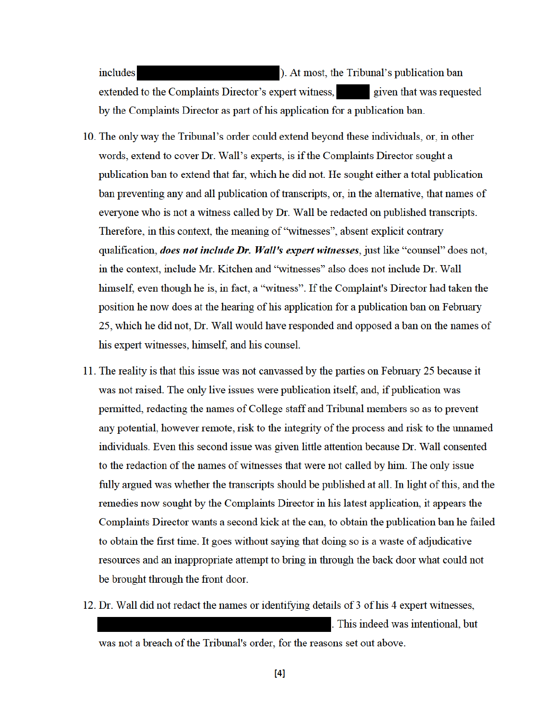includes ). At most, the Tribunal's publication ban extended to the Complaints Director's expert witness, given that was requested by the Complaints Director as part of his application for a publication ban.

- 10. The only way the Tribunal's order could extend beyond these individuals, or, in other words, extend to cover Dr. Wall's experts, is if the Complaints Director sought a publication ban to extend that far, which he did not. He sought either a total publication ban preventing any and all publication of transcripts, or, in the alternative, that names of everyone who is not a witness called by Dr. Wall be redacted on published transcripts. Therefore, in this context, the meaning of "witnesses", absent explicit contrary qualification, *does not include Dr. Wall's expert witnesses*, just like "counsel" does not, in the context, include Mr. Kitchen and "witnesses" also does not include Dr. Wall himself, even though he is, in fact, a "witness". If the Complaint's Director had taken the position he now does at the hearing of his application for a publication ban on February 25, which he did not, Dr. Wall would have responded and opposed a ban on the names of his expert witnesses, himself, and his counsel.
- 11. The reality is that this issue was not canvassed by the parties on February 25 because it was not raised. The only live issues were publication itself, and, if publication was permitted, redacting the names of College staff and Tribunal members so as to prevent any potential, however remote, risk to the integrity of the process and risk to the unnamed individuals. Even this second issue was given little attention because Dr. Wall consented to the redaction of the names of witnesses that were not called by him. The only issue fully argued was whether the transcripts should be published at all. In light of this, and the remedies now sought by the Complaints Director in his latest application, it appears the Complaints Director wants a second kick at the can, to obtain the publication ban he failed to obtain the first time. It goes without saying that doing so is a waste of adjudicative resources and an inappropriate attempt to bring in through the back door what could not be brought through the front door.
- 12. Dr. Wall did not redact the names or identifying details of 3 of his 4 expert witnesses, . This indeed was intentional, but was not a breach of the Tribunal's order, for the reasons set out above.
	- $[4]$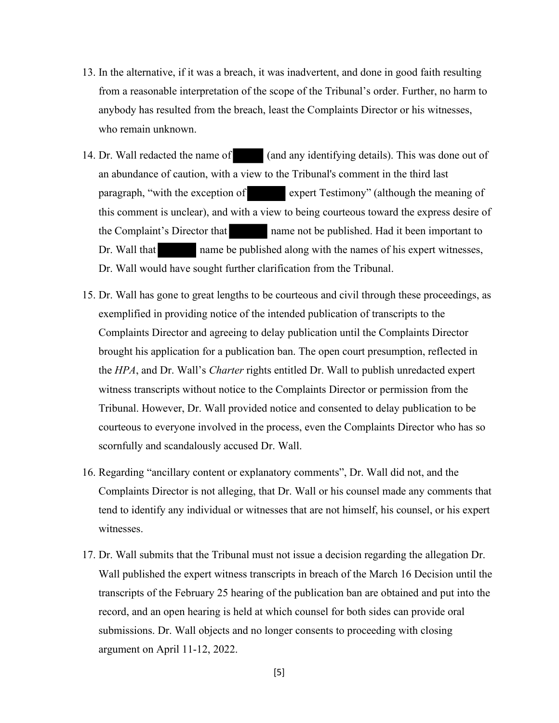- 13. In the alternative, if it was a breach, it was inadvertent, and done in good faith resulting from a reasonable interpretation of the scope of the Tribunal's order. Further, no harm to anybody has resulted from the breach, least the Complaints Director or his witnesses, who remain unknown.
- 14. Dr. Wall redacted the name of (and any identifying details). This was done out of an abundance of caution, with a view to the Tribunal's comment in the third last paragraph, "with the exception of expert Testimony" (although the meaning of this comment is unclear), and with a view to being courteous toward the express desire of the Complaint's Director that name not be published. Had it been important to Dr. Wall that name be published along with the names of his expert witnesses, Dr. Wall would have sought further clarification from the Tribunal.
- 15. Dr. Wall has gone to great lengths to be courteous and civil through these proceedings, as exemplified in providing notice of the intended publication of transcripts to the Complaints Director and agreeing to delay publication until the Complaints Director brought his application for a publication ban. The open court presumption, reflected in the *HPA*, and Dr. Wall's *Charter* rights entitled Dr. Wall to publish unredacted expert witness transcripts without notice to the Complaints Director or permission from the Tribunal. However, Dr. Wall provided notice and consented to delay publication to be courteous to everyone involved in the process, even the Complaints Director who has so scornfully and scandalously accused Dr. Wall.
- 16. Regarding "ancillary content or explanatory comments", Dr. Wall did not, and the Complaints Director is not alleging, that Dr. Wall or his counsel made any comments that tend to identify any individual or witnesses that are not himself, his counsel, or his expert witnesses.
- 17. Dr. Wall submits that the Tribunal must not issue a decision regarding the allegation Dr. Wall published the expert witness transcripts in breach of the March 16 Decision until the transcripts of the February 25 hearing of the publication ban are obtained and put into the record, and an open hearing is held at which counsel for both sides can provide oral submissions. Dr. Wall objects and no longer consents to proceeding with closing argument on April 11-12, 2022.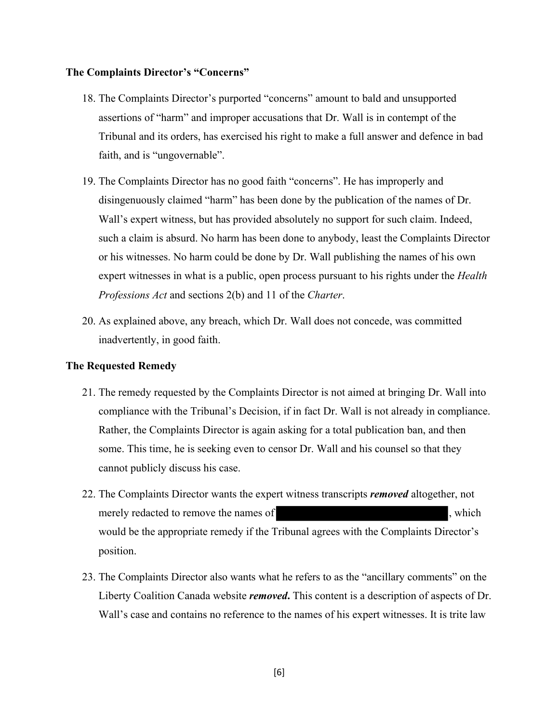#### **The Complaints Director's "Concerns"**

- 18. The Complaints Director's purported "concerns" amount to bald and unsupported assertions of "harm" and improper accusations that Dr. Wall is in contempt of the Tribunal and its orders, has exercised his right to make a full answer and defence in bad faith, and is "ungovernable".
- 19. The Complaints Director has no good faith "concerns". He has improperly and disingenuously claimed "harm" has been done by the publication of the names of Dr. Wall's expert witness, but has provided absolutely no support for such claim. Indeed, such a claim is absurd. No harm has been done to anybody, least the Complaints Director or his witnesses. No harm could be done by Dr. Wall publishing the names of his own expert witnesses in what is a public, open process pursuant to his rights under the *Health Professions Act* and sections 2(b) and 11 of the *Charter*.
- 20. As explained above, any breach, which Dr. Wall does not concede, was committed inadvertently, in good faith.

#### **The Requested Remedy**

- 21. The remedy requested by the Complaints Director is not aimed at bringing Dr. Wall into compliance with the Tribunal's Decision, if in fact Dr. Wall is not already in compliance. Rather, the Complaints Director is again asking for a total publication ban, and then some. This time, he is seeking even to censor Dr. Wall and his counsel so that they cannot publicly discuss his case.
- 22. The Complaints Director wants the expert witness transcripts *removed* altogether, not merely redacted to remove the names of  $\blacksquare$ , which would be the appropriate remedy if the Tribunal agrees with the Complaints Director's position.
- 23. The Complaints Director also wants what he refers to as the "ancillary comments" on the Liberty Coalition Canada website *removed***.** This content is a description of aspects of Dr. Wall's case and contains no reference to the names of his expert witnesses. It is trite law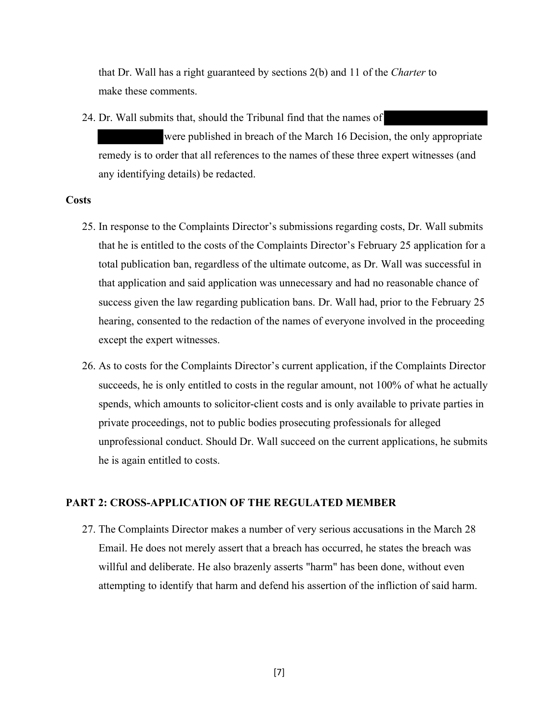that Dr. Wall has a right guaranteed by sections 2(b) and 11 of the *Charter* to make these comments.

24. Dr. Wall submits that, should the Tribunal find that the names of were published in breach of the March 16 Decision, the only appropriate remedy is to order that all references to the names of these three expert witnesses (and any identifying details) be redacted.

#### **Costs**

- 25. In response to the Complaints Director's submissions regarding costs, Dr. Wall submits that he is entitled to the costs of the Complaints Director's February 25 application for a total publication ban, regardless of the ultimate outcome, as Dr. Wall was successful in that application and said application was unnecessary and had no reasonable chance of success given the law regarding publication bans. Dr. Wall had, prior to the February 25 hearing, consented to the redaction of the names of everyone involved in the proceeding except the expert witnesses.
- 26. As to costs for the Complaints Director's current application, if the Complaints Director succeeds, he is only entitled to costs in the regular amount, not 100% of what he actually spends, which amounts to solicitor-client costs and is only available to private parties in private proceedings, not to public bodies prosecuting professionals for alleged unprofessional conduct. Should Dr. Wall succeed on the current applications, he submits he is again entitled to costs.

#### **PART 2: CROSS-APPLICATION OF THE REGULATED MEMBER**

27. The Complaints Director makes a number of very serious accusations in the March 28 Email. He does not merely assert that a breach has occurred, he states the breach was willful and deliberate. He also brazenly asserts "harm" has been done, without even attempting to identify that harm and defend his assertion of the infliction of said harm.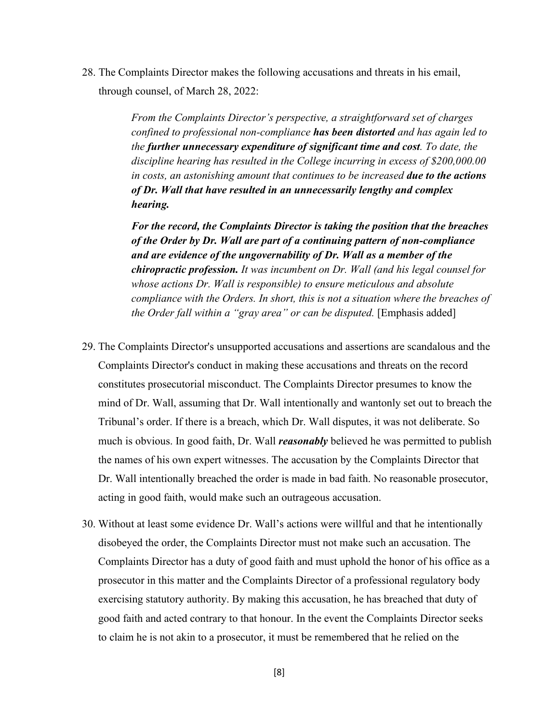28. The Complaints Director makes the following accusations and threats in his email, through counsel, of March 28, 2022:

> *From the Complaints Director's perspective, a straightforward set of charges confined to professional non-compliance has been distorted and has again led to the further unnecessary expenditure of significant time and cost. To date, the discipline hearing has resulted in the College incurring in excess of \$200,000.00 in costs, an astonishing amount that continues to be increased due to the actions of Dr. Wall that have resulted in an unnecessarily lengthy and complex hearing.*

*For the record, the Complaints Director is taking the position that the breaches of the Order by Dr. Wall are part of a continuing pattern of non-compliance and are evidence of the ungovernability of Dr. Wall as a member of the chiropractic profession. It was incumbent on Dr. Wall (and his legal counsel for whose actions Dr. Wall is responsible) to ensure meticulous and absolute compliance with the Orders. In short, this is not a situation where the breaches of the Order fall within a "gray area" or can be disputed.* [Emphasis added]

- 29. The Complaints Director's unsupported accusations and assertions are scandalous and the Complaints Director's conduct in making these accusations and threats on the record constitutes prosecutorial misconduct. The Complaints Director presumes to know the mind of Dr. Wall, assuming that Dr. Wall intentionally and wantonly set out to breach the Tribunal's order. If there is a breach, which Dr. Wall disputes, it was not deliberate. So much is obvious. In good faith, Dr. Wall *reasonably* believed he was permitted to publish the names of his own expert witnesses. The accusation by the Complaints Director that Dr. Wall intentionally breached the order is made in bad faith. No reasonable prosecutor, acting in good faith, would make such an outrageous accusation.
- 30. Without at least some evidence Dr. Wall's actions were willful and that he intentionally disobeyed the order, the Complaints Director must not make such an accusation. The Complaints Director has a duty of good faith and must uphold the honor of his office as a prosecutor in this matter and the Complaints Director of a professional regulatory body exercising statutory authority. By making this accusation, he has breached that duty of good faith and acted contrary to that honour. In the event the Complaints Director seeks to claim he is not akin to a prosecutor, it must be remembered that he relied on the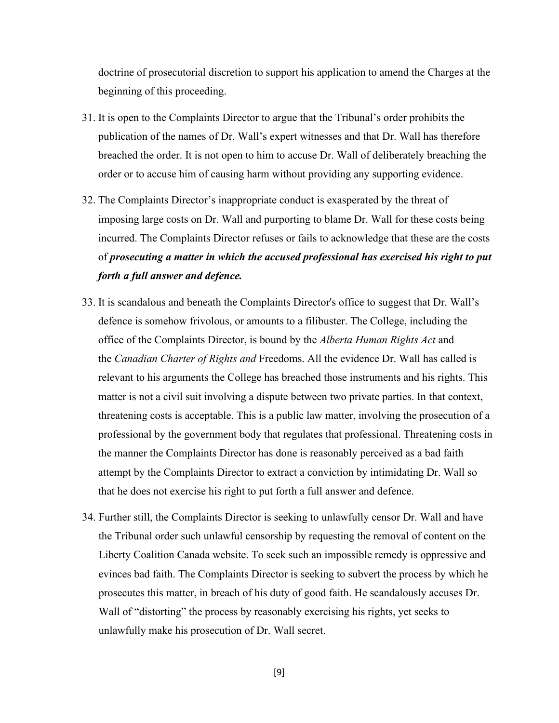doctrine of prosecutorial discretion to support his application to amend the Charges at the beginning of this proceeding.

- 31. It is open to the Complaints Director to argue that the Tribunal's order prohibits the publication of the names of Dr. Wall's expert witnesses and that Dr. Wall has therefore breached the order. It is not open to him to accuse Dr. Wall of deliberately breaching the order or to accuse him of causing harm without providing any supporting evidence.
- 32. The Complaints Director's inappropriate conduct is exasperated by the threat of imposing large costs on Dr. Wall and purporting to blame Dr. Wall for these costs being incurred. The Complaints Director refuses or fails to acknowledge that these are the costs of *prosecuting a matter in which the accused professional has exercised his right to put forth a full answer and defence.*
- 33. It is scandalous and beneath the Complaints Director's office to suggest that Dr. Wall's defence is somehow frivolous, or amounts to a filibuster. The College, including the office of the Complaints Director, is bound by the *Alberta Human Rights Act* and the *Canadian Charter of Rights and* Freedoms. All the evidence Dr. Wall has called is relevant to his arguments the College has breached those instruments and his rights. This matter is not a civil suit involving a dispute between two private parties. In that context, threatening costs is acceptable. This is a public law matter, involving the prosecution of a professional by the government body that regulates that professional. Threatening costs in the manner the Complaints Director has done is reasonably perceived as a bad faith attempt by the Complaints Director to extract a conviction by intimidating Dr. Wall so that he does not exercise his right to put forth a full answer and defence.
- 34. Further still, the Complaints Director is seeking to unlawfully censor Dr. Wall and have the Tribunal order such unlawful censorship by requesting the removal of content on the Liberty Coalition Canada website. To seek such an impossible remedy is oppressive and evinces bad faith. The Complaints Director is seeking to subvert the process by which he prosecutes this matter, in breach of his duty of good faith. He scandalously accuses Dr. Wall of "distorting" the process by reasonably exercising his rights, yet seeks to unlawfully make his prosecution of Dr. Wall secret.

[9]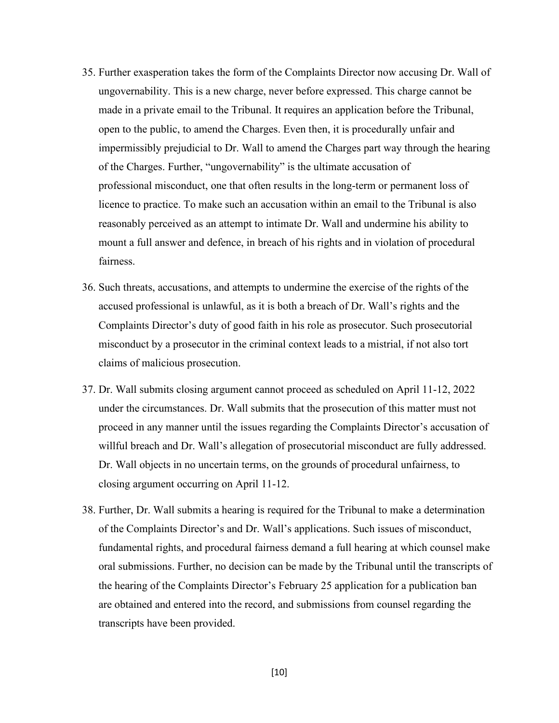- 35. Further exasperation takes the form of the Complaints Director now accusing Dr. Wall of ungovernability. This is a new charge, never before expressed. This charge cannot be made in a private email to the Tribunal. It requires an application before the Tribunal, open to the public, to amend the Charges. Even then, it is procedurally unfair and impermissibly prejudicial to Dr. Wall to amend the Charges part way through the hearing of the Charges. Further, "ungovernability" is the ultimate accusation of professional misconduct, one that often results in the long-term or permanent loss of licence to practice. To make such an accusation within an email to the Tribunal is also reasonably perceived as an attempt to intimate Dr. Wall and undermine his ability to mount a full answer and defence, in breach of his rights and in violation of procedural fairness.
- 36. Such threats, accusations, and attempts to undermine the exercise of the rights of the accused professional is unlawful, as it is both a breach of Dr. Wall's rights and the Complaints Director's duty of good faith in his role as prosecutor. Such prosecutorial misconduct by a prosecutor in the criminal context leads to a mistrial, if not also tort claims of malicious prosecution.
- 37. Dr. Wall submits closing argument cannot proceed as scheduled on April 11-12, 2022 under the circumstances. Dr. Wall submits that the prosecution of this matter must not proceed in any manner until the issues regarding the Complaints Director's accusation of willful breach and Dr. Wall's allegation of prosecutorial misconduct are fully addressed. Dr. Wall objects in no uncertain terms, on the grounds of procedural unfairness, to closing argument occurring on April 11-12.
- 38. Further, Dr. Wall submits a hearing is required for the Tribunal to make a determination of the Complaints Director's and Dr. Wall's applications. Such issues of misconduct, fundamental rights, and procedural fairness demand a full hearing at which counsel make oral submissions. Further, no decision can be made by the Tribunal until the transcripts of the hearing of the Complaints Director's February 25 application for a publication ban are obtained and entered into the record, and submissions from counsel regarding the transcripts have been provided.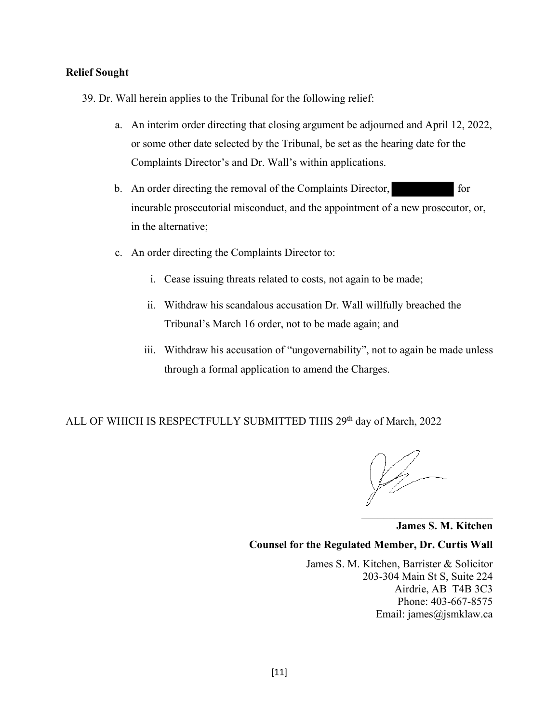#### **Relief Sought**

- 39. Dr. Wall herein applies to the Tribunal for the following relief:
	- a. An interim order directing that closing argument be adjourned and April 12, 2022, or some other date selected by the Tribunal, be set as the hearing date for the Complaints Director's and Dr. Wall's within applications.
	- b. An order directing the removal of the Complaints Director, for incurable prosecutorial misconduct, and the appointment of a new prosecutor, or, in the alternative;
	- c. An order directing the Complaints Director to:
		- i. Cease issuing threats related to costs, not again to be made;
		- ii. Withdraw his scandalous accusation Dr. Wall willfully breached the Tribunal's March 16 order, not to be made again; and
		- iii. Withdraw his accusation of "ungovernability", not to again be made unless through a formal application to amend the Charges.

ALL OF WHICH IS RESPECTFULLY SUBMITTED THIS 29<sup>th</sup> day of March, 2022

\_\_\_\_\_\_\_\_\_\_\_\_\_\_\_\_\_\_\_\_\_\_\_\_

**James S. M. Kitchen Counsel for the Regulated Member, Dr. Curtis Wall** 

James S. M. Kitchen, Barrister & Solicitor 203-304 Main St S, Suite 224 Airdrie, AB T4B 3C3 Phone: 403-667-8575 Email: james@jsmklaw.ca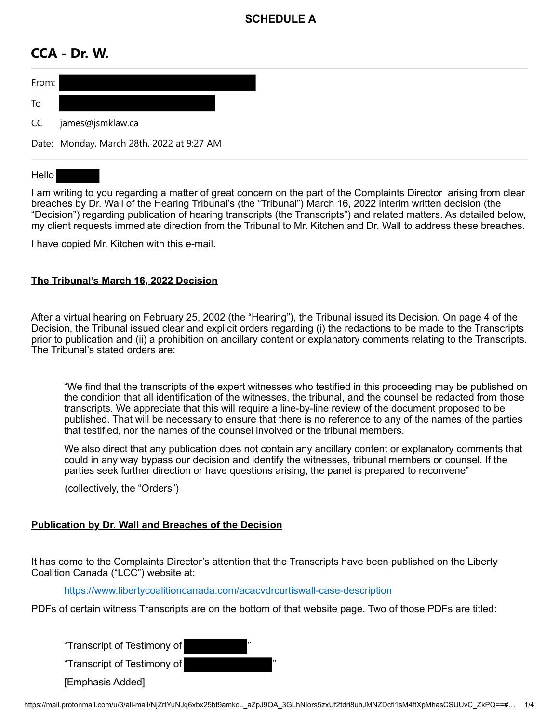# **SCHEDULE A**

# **CCA - Dr. W.**



### Hello

I am writing to you regarding a matter of great concern on the part of the Complaints Director arising from clear breaches by Dr. Wall of the Hearing Tribunal's (the "Tribunal") March 16, 2022 interim written decision (the "Decision") regarding publication of hearing transcripts (the Transcripts") and related matters. As detailed below, my client requests immediate direction from the Tribunal to Mr. Kitchen and Dr. Wall to address these breaches.

I have copied Mr. Kitchen with this e-mail.

## **The Tribunal's March 16, 2022 Decision**

After a virtual hearing on February 25, 2002 (the "Hearing"), the Tribunal issued its Decision. On page 4 of the Decision, the Tribunal issued clear and explicit orders regarding (i) the redactions to be made to the Transcripts prior to publication and (ii) a prohibition on ancillary content or explanatory comments relating to the Transcripts. The Tribunal's stated orders are:

"We find that the transcripts of the expert witnesses who testified in this proceeding may be published on the condition that all identification of the witnesses, the tribunal, and the counsel be redacted from those transcripts. We appreciate that this will require a line-by-line review of the document proposed to be published. That will be necessary to ensure that there is no reference to any of the names of the parties that testified, nor the names of the counsel involved or the tribunal members.

We also direct that any publication does not contain any ancillary content or explanatory comments that could in any way bypass our decision and identify the witnesses, tribunal members or counsel. If the parties seek further direction or have questions arising, the panel is prepared to reconvene"

(collectively, the "Orders")

## **Publication by Dr. Wall and Breaches of the Decision**

It has come to the Complaints Director's attention that the Transcripts have been published on the Liberty Coalition Canada ("LCC") website at:

https://www.libertycoalitioncanada.com/acacvdrcurtiswall-case-description

PDFs of certain witness Transcripts are on the bottom of that website page. Two of those PDFs are titled:

"Transcript of Testimony of "

"Transcript of Testimony of "

[Emphasis Added]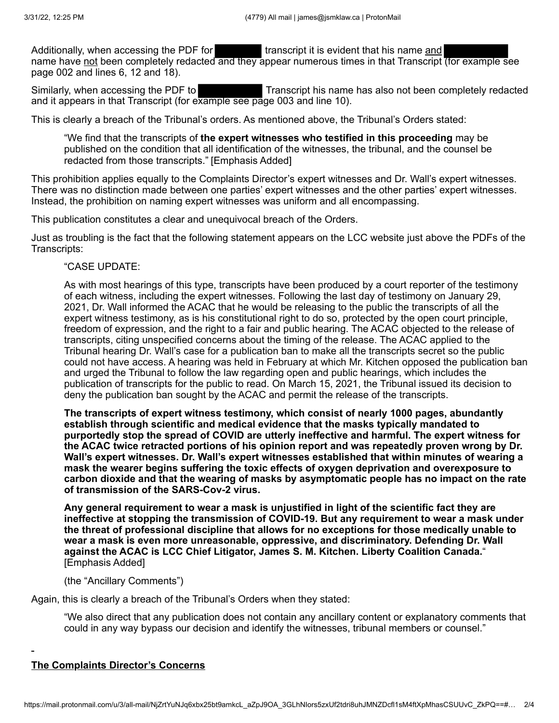Additionally, when accessing the PDF for **the summan is transcript it is evident that his name and** name have not been completely redacted and they appear numerous times in that Transcript (for example see page 002 and lines 6, 12 and 18).

Similarly, when accessing the PDF to Transcript his name has also not been completely redacted and it appears in that Transcript (for example see page 003 and line 10).

This is clearly a breach of the Tribunal's orders. As mentioned above, the Tribunal's Orders stated:

"We find that the transcripts of **the expert witnesses who testified in this proceeding** may be published on the condition that all identification of the witnesses, the tribunal, and the counsel be redacted from those transcripts." [Emphasis Added]

This prohibition applies equally to the Complaints Director's expert witnesses and Dr. Wall's expert witnesses. There was no distinction made between one parties' expert witnesses and the other parties' expert witnesses. Instead, the prohibition on naming expert witnesses was uniform and all encompassing.

This publication constitutes a clear and unequivocal breach of the Orders.

Just as troubling is the fact that the following statement appears on the LCC website just above the PDFs of the Transcripts:

"CASE UPDATE:

As with most hearings of this type, transcripts have been produced by a court reporter of the testimony of each witness, including the expert witnesses. Following the last day of testimony on January 29, 2021, Dr. Wall informed the ACAC that he would be releasing to the public the transcripts of all the expert witness testimony, as is his constitutional right to do so, protected by the open court principle, freedom of expression, and the right to a fair and public hearing. The ACAC objected to the release of transcripts, citing unspecified concerns about the timing of the release. The ACAC applied to the Tribunal hearing Dr. Wall's case for a publication ban to make all the transcripts secret so the public could not have access. A hearing was held in February at which Mr. Kitchen opposed the publication ban and urged the Tribunal to follow the law regarding open and public hearings, which includes the publication of transcripts for the public to read. On March 15, 2021, the Tribunal issued its decision to deny the publication ban sought by the ACAC and permit the release of the transcripts.

**The transcripts of expert witness testimony, which consist of nearly 1000 pages, abundantly establish through scientific and medical evidence that the masks typically mandated to purportedly stop the spread of COVID are utterly ineffective and harmful. The expert witness for the ACAC twice retracted portions of his opinion report and was repeatedly proven wrong by Dr. Wall's expert witnesses. Dr. Wall's expert witnesses established that within minutes of wearing a mask the wearer begins suffering the toxic effects of oxygen deprivation and overexposure to carbon dioxide and that the wearing of masks by asymptomatic people has no impact on the rate of transmission of the SARS-Cov-2 virus.**

**Any general requirement to wear a mask is unjustified in light of the scientific fact they are ineffective at stopping the transmission of COVID-19. But any requirement to wear a mask under the threat of professional discipline that allows for no exceptions for those medically unable to wear a mask is even more unreasonable, oppressive, and discriminatory. Defending Dr. Wall against the ACAC is LCC Chief Litigator, James S. M. Kitchen. Liberty Coalition Canada.**" [Emphasis Added]

(the "Ancillary Comments")

Again, this is clearly a breach of the Tribunal's Orders when they stated:

"We also direct that any publication does not contain any ancillary content or explanatory comments that could in any way bypass our decision and identify the witnesses, tribunal members or counsel."

#### **The Complaints Director's Concerns**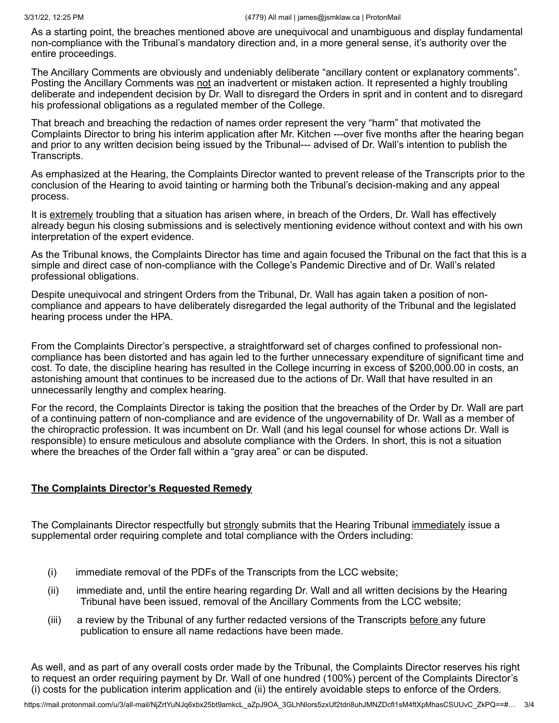As a starting point, the breaches mentioned above are unequivocal and unambiguous and display fundamental non-compliance with the Tribunal's mandatory direction and, in a more general sense, it's authority over the entire proceedings.

The Ancillary Comments are obviously and undeniably deliberate "ancillary content or explanatory comments". Posting the Ancillary Comments was not an inadvertent or mistaken action. It represented a highly troubling deliberate and independent decision by Dr. Wall to disregard the Orders in sprit and in content and to disregard his professional obligations as a regulated member of the College.

That breach and breaching the redaction of names order represent the very "harm" that motivated the Complaints Director to bring his interim application after Mr. Kitchen ---over five months after the hearing began and prior to any written decision being issued by the Tribunal--- advised of Dr. Wall's intention to publish the Transcripts.

As emphasized at the Hearing, the Complaints Director wanted to prevent release of the Transcripts prior to the conclusion of the Hearing to avoid tainting or harming both the Tribunal's decision-making and any appeal process.

It is extremely troubling that a situation has arisen where, in breach of the Orders, Dr. Wall has effectively already begun his closing submissions and is selectively mentioning evidence without context and with his own interpretation of the expert evidence.

As the Tribunal knows, the Complaints Director has time and again focused the Tribunal on the fact that this is a simple and direct case of non-compliance with the College's Pandemic Directive and of Dr. Wall's related professional obligations.

Despite unequivocal and stringent Orders from the Tribunal, Dr. Wall has again taken a position of noncompliance and appears to have deliberately disregarded the legal authority of the Tribunal and the legislated hearing process under the HPA.

From the Complaints Director's perspective, a straightforward set of charges confined to professional noncompliance has been distorted and has again led to the further unnecessary expenditure of significant time and cost. To date, the discipline hearing has resulted in the College incurring in excess of \$200,000.00 in costs, an astonishing amount that continues to be increased due to the actions of Dr. Wall that have resulted in an unnecessarily lengthy and complex hearing.

For the record, the Complaints Director is taking the position that the breaches of the Order by Dr. Wall are part of a continuing pattern of non-compliance and are evidence of the ungovernability of Dr. Wall as a member of the chiropractic profession. It was incumbent on Dr. Wall (and his legal counsel for whose actions Dr. Wall is responsible) to ensure meticulous and absolute compliance with the Orders. In short, this is not a situation where the breaches of the Order fall within a "gray area" or can be disputed.

## **The Complaints Director's Requested Remedy**

The Complainants Director respectfully but strongly submits that the Hearing Tribunal immediately issue a supplemental order requiring complete and total compliance with the Orders including:

- (i) immediate removal of the PDFs of the Transcripts from the LCC website;
- (ii) immediate and, until the entire hearing regarding Dr. Wall and all written decisions by the Hearing Tribunal have been issued, removal of the Ancillary Comments from the LCC website;
- (iii) a review by the Tribunal of any further redacted versions of the Transcripts before any future publication to ensure all name redactions have been made.

As well, and as part of any overall costs order made by the Tribunal, the Complaints Director reserves his right to request an order requiring payment by Dr. Wall of one hundred (100%) percent of the Complaints Director's (i) costs for the publication interim application and (ii) the entirely avoidable steps to enforce of the Orders.